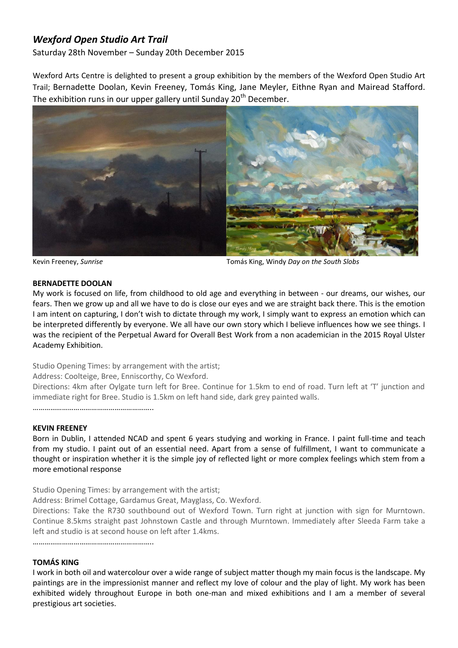# *Wexford Open Studio Art Trail*

Saturday 28th November – Sunday 20th December 2015

Wexford Arts Centre is delighted to present a group exhibition by the members of the Wexford Open Studio Art Trail; Bernadette Doolan, Kevin Freeney, Tomás King, Jane Meyler, Eithne Ryan and Mairead Stafford. The exhibition runs in our upper gallery until Sunday 20<sup>th</sup> December.



Kevin Freeney, *Sunrise* Tomás King, Windy *Day on the South Slobs*

#### **BERNADETTE DOOLAN**

My work is focused on life, from childhood to old age and everything in between - our dreams, our wishes, our fears. Then we grow up and all we have to do is close our eyes and we are straight back there. This is the emotion I am intent on capturing, I don't wish to dictate through my work, I simply want to express an emotion which can be interpreted differently by everyone. We all have our own story which I believe influences how we see things. I was the recipient of the Perpetual Award for Overall Best Work from a non academician in the 2015 Royal Ulster Academy Exhibition.

Studio Opening Times: by arrangement with the artist;

Address: Coolteige, Bree, Enniscorthy, Co Wexford.

Directions: 4km after Oylgate turn left for Bree. Continue for 1.5km to end of road. Turn left at 'T' junction and immediate right for Bree. Studio is 1.5km on left hand side, dark grey painted walls.

……………………………………………………..

#### **KEVIN FREENEY**

Born in Dublin, I attended NCAD and spent 6 years studying and working in France. I paint full-time and teach from my studio. I paint out of an essential need. Apart from a sense of fulfillment, I want to communicate a thought or inspiration whether it is the simple joy of reflected light or more complex feelings which stem from a more emotional response

Studio Opening Times: by arrangement with the artist;

Address: Brimel Cottage, Gardamus Great, Mayglass, Co. Wexford.

Directions: Take the R730 southbound out of Wexford Town. Turn right at junction with sign for Murntown. Continue 8.5kms straight past Johnstown Castle and through Murntown. Immediately after Sleeda Farm take a left and studio is at second house on left after 1.4kms.

……………………………………………………..

#### **TOMÁS KING**

I work in both oil and watercolour over a wide range of subject matter though my main focus is the landscape. My paintings are in the impressionist manner and reflect my love of colour and the play of light. My work has been exhibited widely throughout Europe in both one-man and mixed exhibitions and I am a member of several prestigious art societies.